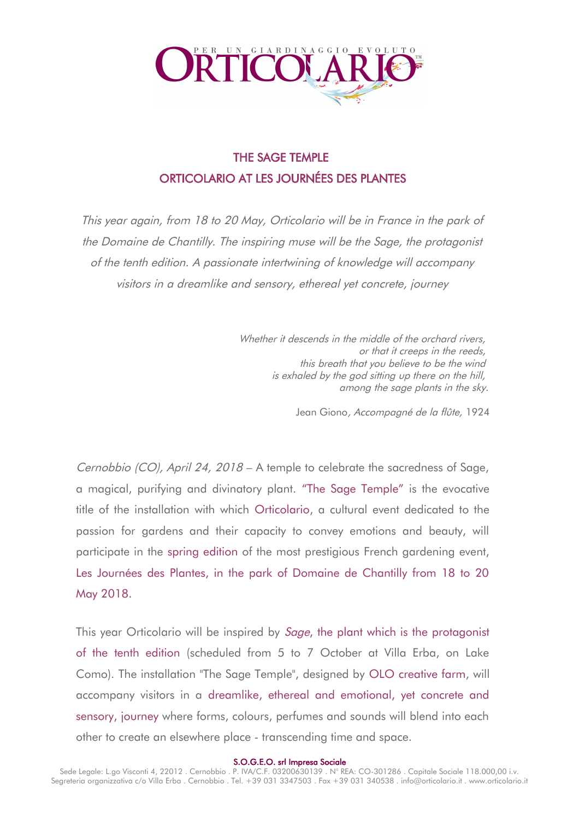

# THE SAGE TEMPLE ORTICOLARIO AT LES JOURNÉES DES PLANTES

This year again, from 18 to 20 May, Orticolario will be in France in the park of the Domaine de Chantilly. The inspiring muse will be the Sage, the protagonist of the tenth edition. A passionate intertwining of knowledge will accompany visitors in a dreamlike and sensory, ethereal yet concrete, journey

> Whether it descends in the middle of the orchard rivers, or that it creeps in the reeds, this breath that you believe to be the wind is exhaled by the god sitting up there on the hill, among the sage plants in the sky.

> > Jean Giono, Accompagné de la flûte, 1924

Cernobbio (CO), April 24, 2018 – A temple to celebrate the sacredness of Sage, a magical, purifying and divinatory plant. "The Sage Temple" is the evocative title of the installation with which Orticolario, a cultural event dedicated to the passion for gardens and their capacity to convey emotions and beauty, will participate in the spring edition of the most prestigious French gardening event, Les Journées des Plantes, in the park of Domaine de Chantilly from 18 to 20 May 2018.

This year Orticolario will be inspired by *Sage*, the plant which is the protagonist of the tenth edition (scheduled from 5 to 7 October at Villa Erba, on Lake Como). The installation "The Sage Temple", designed by OLO creative farm, will accompany visitors in a dreamlike, ethereal and emotional, yet concrete and sensory, journey where forms, colours, perfumes and sounds will blend into each other to create an elsewhere place - transcending time and space.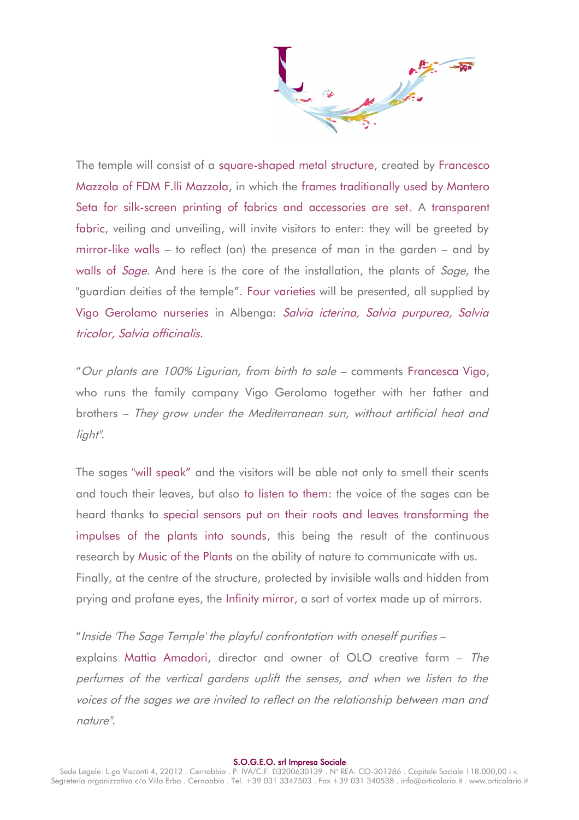The temple will consist of a square-shaped metal structure, created by Francesco Mazzola of FDM F.lli Mazzola, in which the frames traditionally used by Mantero Seta for silk-screen printing of fabrics and accessories are set. A transparent fabric, veiling and unveiling, will invite visitors to enter: they will be greeted by mirror-like walls – to reflect (on) the presence of man in the garden – and by walls of *Sage*. And here is the core of the installation, the plants of *Sage*, the "guardian deities of the temple". Four varieties will be presented, all supplied by Vigo Gerolamo nurseries in Albenga: Salvia icterina, Salvia purpurea, Salvia tricolor, Salvia officinalis.

"Our plants are 100% Ligurian, from birth to sale – comments Francesca Vigo, who runs the family company Vigo Gerolamo together with her father and brothers – They grow under the Mediterranean sun, without artificial heat and light".

The sages "will speak" and the visitors will be able not only to smell their scents and touch their leaves, but also to listen to them: the voice of the sages can be heard thanks to special sensors put on their roots and leaves transforming the impulses of the plants into sounds, this being the result of the continuous research by Music of the Plants on the ability of nature to communicate with us. Finally, at the centre of the structure, protected by invisible walls and hidden from prying and profane eyes, the Infinity mirror, a sort of vortex made up of mirrors.

"Inside 'The Sage Temple' the playful confrontation with oneself purifies – explains Mattia Amadori, director and owner of OLO creative farm – The perfumes of the vertical gardens uplift the senses, and when we listen to the voices of the sages we are invited to reflect on the relationship between man and nature".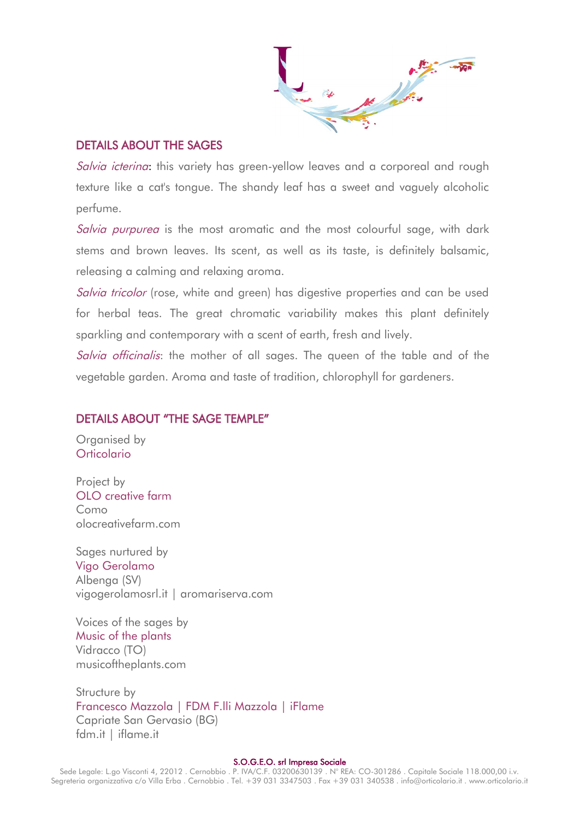### DETAILS ABOUT THE SAGES

Salvia icterina: this variety has green-yellow leaves and a corporeal and rough texture like a cat's tongue. The shandy leaf has a sweet and vaguely alcoholic perfume.

Salvia purpurea is the most aromatic and the most colourful sage, with dark stems and brown leaves. Its scent, as well as its taste, is definitely balsamic, releasing a calming and relaxing aroma.

Salvia tricolor (rose, white and green) has digestive properties and can be used for herbal teas. The great chromatic variability makes this plant definitely sparkling and contemporary with a scent of earth, fresh and lively.

Salvia officinalis: the mother of all sages. The queen of the table and of the vegetable garden. Aroma and taste of tradition, chlorophyll for gardeners.

### DETAILS ABOUT "THE SAGE TEMPLE"

Organised by **Orticolario** 

Project by OLO creative farm Como olocreativefarm.com

Sages nurtured by Vigo Gerolamo Albenga (SV) vigogerolamosrl.it | aromariserva.com

Voices of the sages by Music of the plants Vidracco (TO) musicoftheplants.com

Structure by Francesco Mazzola | FDM F.lli Mazzola | iFlame Capriate San Gervasio (BG) fdm.it | iflame.it

### S.O.G.E.O. srl Impresa Sociale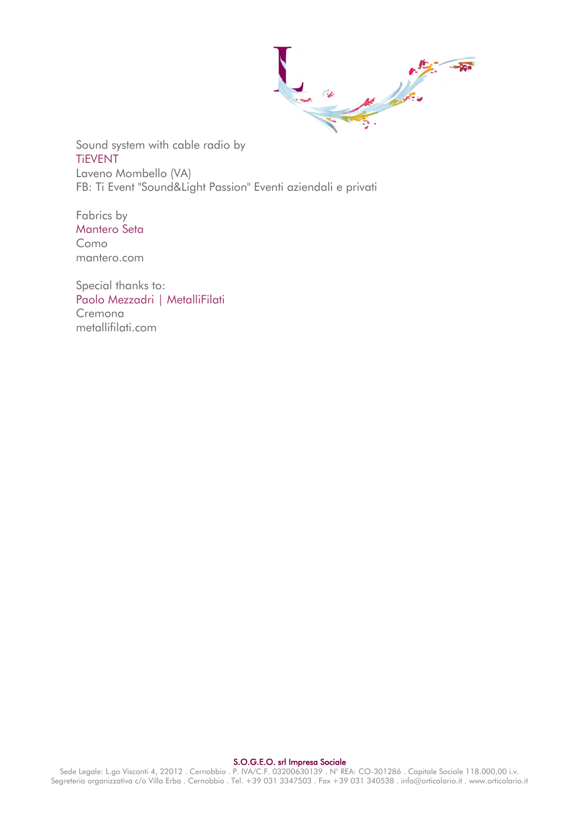And the first of the contract of the contract of the contract of the contract of the contract of the contract of

Sound system with cable radio by TiEVENT Laveno Mombello (VA) FB: Ti Event "Sound&Light Passion" Eventi aziendali e privati

Fabrics by Mantero Seta Como mantero.com

Special thanks to: Paolo Mezzadri | MetalliFilati Cremona metallifilati.com

#### S.O.G.E.O. srl Impresa Sociale

Sede Legale: L.go Visconti 4, 22012 . Cernobbio . P. IVA/C.F. 03200630139 . N° REA: CO-301286 . Capitale Sociale 118.000,00 i.v. Segreteria organizzativa c/o Villa Erba . Cernobbio . Tel. +39 031 3347503 . Fax +39 031 340538 . info@orticolario.it . www.orticolario.it